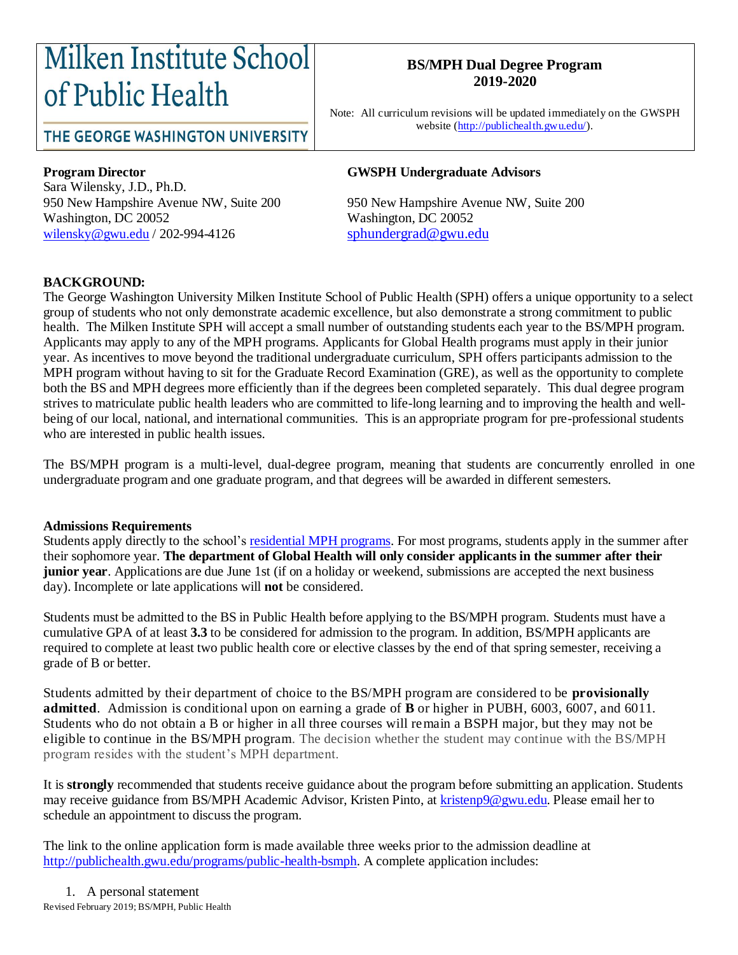# Milken Institute School of Public Health

### THE GEORGE WASHINGTON UNIVERSITY

#### **BS/MPH Dual Degree Program 2019-2020**

Note: All curriculum revisions will be updated immediately on the GWSPH website [\(http://publichealth.gwu.edu/\)](http://publichealth.gwu.edu/).

Sara Wilensky, J.D., Ph.D. Washington, DC 20052 Washington, DC 20052 [wilensky@gwu.edu](mailto:wilensky@gwu.edu) / 202-994-4126 [sphundergrad@gwu.edu](mailto:sphundergrad@gwu.edu)

#### **Program Director GWSPH Undergraduate Advisors**

950 New Hampshire Avenue NW, Suite 200 950 New Hampshire Avenue NW, Suite 200

#### **BACKGROUND:**

The George Washington University Milken Institute School of Public Health (SPH) offers a unique opportunity to a select group of students who not only demonstrate academic excellence, but also demonstrate a strong commitment to public health. The Milken Institute SPH will accept a small number of outstanding students each year to the BS/MPH program. Applicants may apply to any of the MPH programs. Applicants for Global Health programs must apply in their junior year. As incentives to move beyond the traditional undergraduate curriculum, SPH offers participants admission to the MPH program without having to sit for the Graduate Record Examination (GRE), as well as the opportunity to complete both the BS and MPH degrees more efficiently than if the degrees been completed separately. This dual degree program strives to matriculate public health leaders who are committed to life-long learning and to improving the health and wellbeing of our local, national, and international communities. This is an appropriate program for pre-professional students who are interested in public health issues.

The BS/MPH program is a multi-level, dual-degree program, meaning that students are concurrently enrolled in one undergraduate program and one graduate program, and that degrees will be awarded in different semesters.

#### **Admissions Requirements**

Students apply directly to the school's residential [MPH programs.](http://publichealth.gwu.edu/academics/graduate/masters-programs) For most programs, students apply in the summer after their sophomore year. **The department of Global Health will only consider applicants in the summer after their junior year**. Applications are due June 1st (if on a holiday or weekend, submissions are accepted the next business day). Incomplete or late applications will **not** be considered.

Students must be admitted to the BS in Public Health before applying to the BS/MPH program. Students must have a cumulative GPA of at least **3.3** to be considered for admission to the program. In addition, BS/MPH applicants are required to complete at least two public health core or elective classes by the end of that spring semester, receiving a grade of B or better.

Students admitted by their department of choice to the BS/MPH program are considered to be **provisionally admitted**. Admission is conditional upon on earning a grade of **B** or higher in PUBH, 6003, 6007, and 6011. Students who do not obtain a B or higher in all three courses will remain a BSPH major, but they may not be eligible to continue in the BS/MPH program. The decision whether the student may continue with the BS/MPH program resides with the student's MPH department.

It is **strongly** recommended that students receive guidance about the program before submitting an application. Students may receive guidance from BS/MPH Academic Advisor, Kristen Pinto, a[t kristenp9@gwu.edu.](mailto:kristenp9@gwu.edu) Please email her to schedule an appointment to discuss the program.

The link to the online application form is made available three weeks prior to the admission deadline at [http://publichealth.gwu.edu/programs/public-health-bsmph.](http://publichealth.gwu.edu/programs/public-health-bsmph) A complete application includes: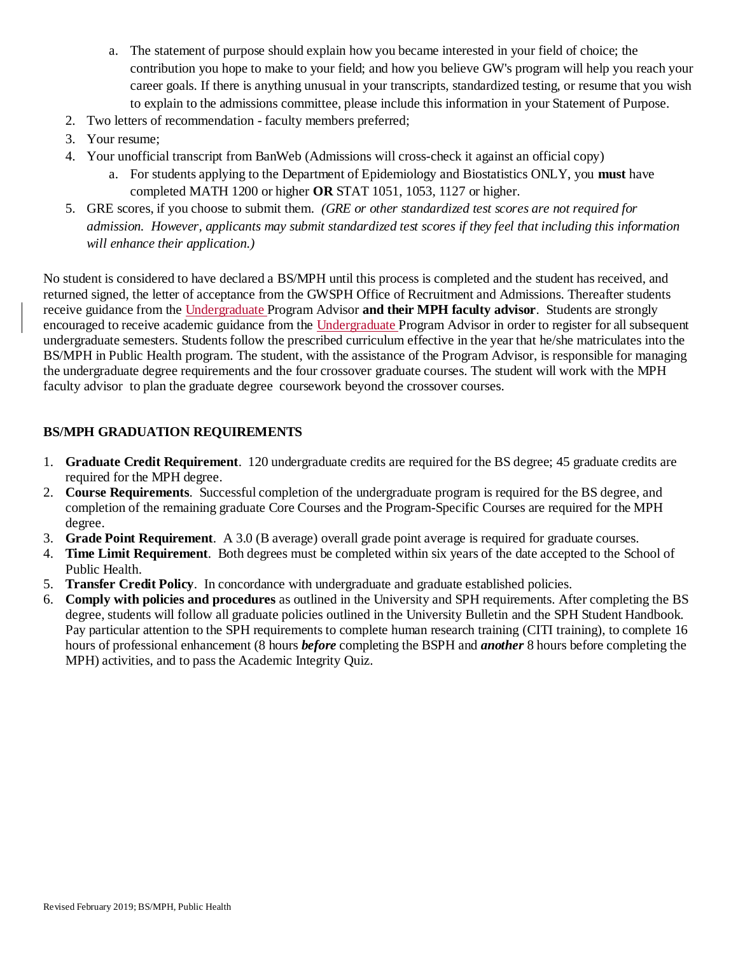- a. The statement of purpose should explain how you became interested in your field of choice; the contribution you hope to make to your field; and how you believe GW's program will help you reach your career goals. If there is anything unusual in your transcripts, standardized testing, or resume that you wish to explain to the admissions committee, please include this information in your Statement of Purpose.
- 2. Two letters of recommendation faculty members preferred;
- 3. Your resume;
- 4. Your unofficial transcript from BanWeb (Admissions will cross-check it against an official copy)
	- a. For students applying to the Department of Epidemiology and Biostatistics ONLY, you **must** have completed MATH 1200 or higher **OR** STAT 1051, 1053, 1127 or higher.
- 5. GRE scores, if you choose to submit them. *(GRE or other standardized test scores are not required for admission. However, applicants may submit standardized test scores if they feel that including this information will enhance their application.)*

No student is considered to have declared a BS/MPH until this process is completed and the student has received, and returned signed, the letter of acceptance from the GWSPH Office of Recruitment and Admissions. Thereafter students receive guidance from the Undergraduate Program Advisor **and their MPH faculty advisor**. Students are strongly encouraged to receive academic guidance from the Undergraduate Program Advisor in order to register for all subsequent undergraduate semesters. Students follow the prescribed curriculum effective in the year that he/she matriculates into the BS/MPH in Public Health program. The student, with the assistance of the Program Advisor, is responsible for managing the undergraduate degree requirements and the four crossover graduate courses. The student will work with the MPH faculty advisor to plan the graduate degree coursework beyond the crossover courses.

#### **BS/MPH GRADUATION REQUIREMENTS**

- 1. **Graduate Credit Requirement**. 120 undergraduate credits are required for the BS degree; 45 graduate credits are required for the MPH degree.
- 2. **Course Requirements**. Successful completion of the undergraduate program is required for the BS degree, and completion of the remaining graduate Core Courses and the Program-Specific Courses are required for the MPH degree.
- 3. **Grade Point Requirement**. A 3.0 (B average) overall grade point average is required for graduate courses.
- 4. **Time Limit Requirement**. Both degrees must be completed within six years of the date accepted to the School of Public Health.
- 5. **Transfer Credit Policy**. In concordance with undergraduate and graduate established policies.
- 6. **Comply with policies and procedures** as outlined in the University and SPH requirements. After completing the BS degree, students will follow all graduate policies outlined in the University Bulletin and the SPH Student Handbook. Pay particular attention to the SPH requirements to complete human research training (CITI training), to complete 16 hours of professional enhancement (8 hours *before* completing the BSPH and *another* 8 hours before completing the MPH) activities, and to pass the Academic Integrity Quiz.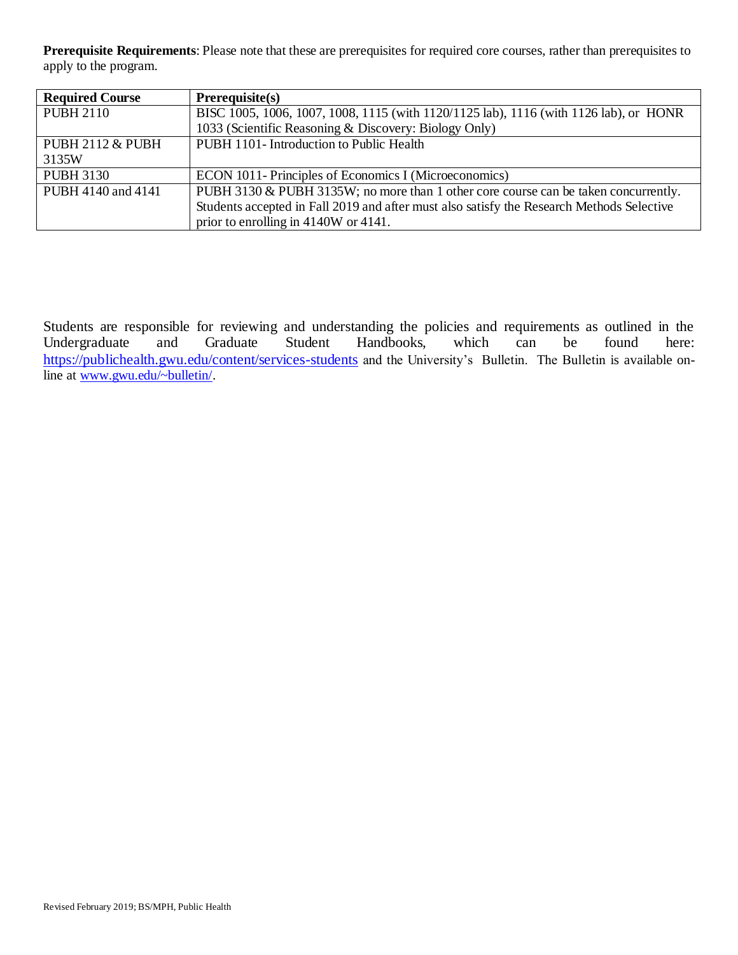**Prerequisite Requirements**: Please note that these are prerequisites for required core courses, rather than prerequisites to apply to the program.

| <b>Required Course</b>      | Prerequires(s)                                                                            |
|-----------------------------|-------------------------------------------------------------------------------------------|
| <b>PUBH 2110</b>            | BISC 1005, 1006, 1007, 1008, 1115 (with 1120/1125 lab), 1116 (with 1126 lab), or HONR     |
|                             | 1033 (Scientific Reasoning & Discovery: Biology Only)                                     |
| <b>PUBH 2112 &amp; PUBH</b> | PUBH 1101- Introduction to Public Health                                                  |
| 3135W                       |                                                                                           |
| <b>PUBH 3130</b>            | ECON 1011- Principles of Economics I (Microeconomics)                                     |
| PUBH 4140 and 4141          | PUBH 3130 & PUBH 3135W; no more than 1 other core course can be taken concurrently.       |
|                             | Students accepted in Fall 2019 and after must also satisfy the Research Methods Selective |
|                             | prior to enrolling in 4140W or 4141.                                                      |

Students are responsible for reviewing and understanding the policies and requirements as outlined in the Undergraduate and Graduate Student Handbooks, which can be found here: <https://publichealth.gwu.edu/content/services-students> and the University's Bulletin. The Bulletin is available online at [www.gwu.edu/~bulletin/.](http://www.gwu.edu/~bulletin/)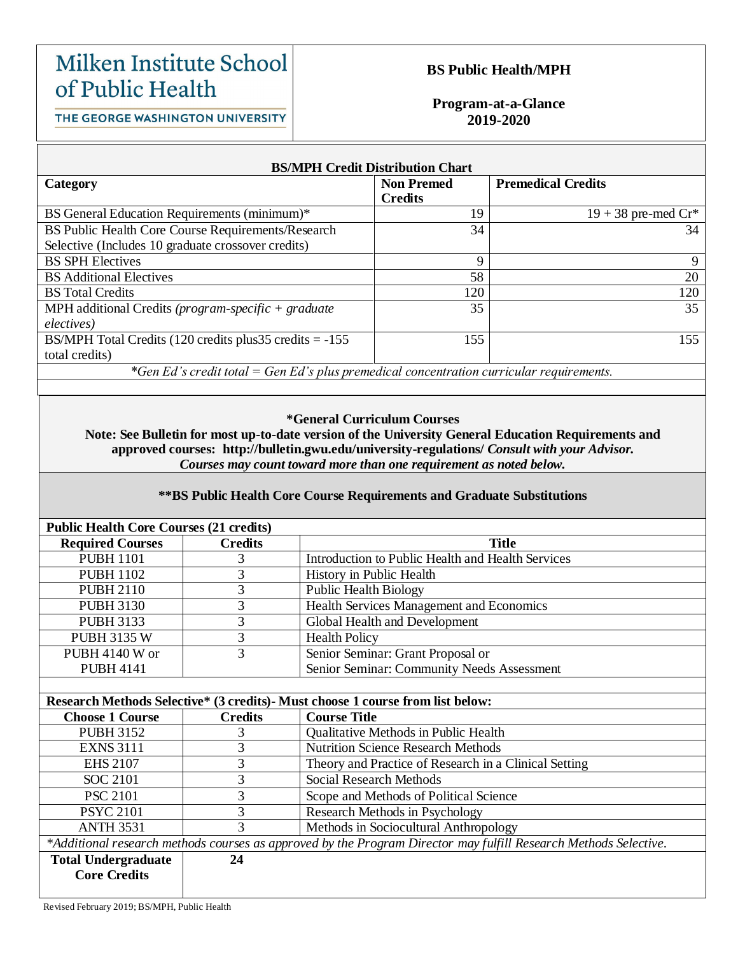## Milken Institute School of Public Health

#### **BS Public Health/MPH**

THE GEORGE WASHINGTON UNIVERSITY

#### **Program-at-a-Glance 2019-2020**

| <b>BS/MPH Credit Distribution Chart</b>                                                                                                                                                                                                                                                                                                             |                   |                           |  |  |  |
|-----------------------------------------------------------------------------------------------------------------------------------------------------------------------------------------------------------------------------------------------------------------------------------------------------------------------------------------------------|-------------------|---------------------------|--|--|--|
| Category                                                                                                                                                                                                                                                                                                                                            | <b>Non Premed</b> | <b>Premedical Credits</b> |  |  |  |
|                                                                                                                                                                                                                                                                                                                                                     | <b>Credits</b>    |                           |  |  |  |
| BS General Education Requirements (minimum)*                                                                                                                                                                                                                                                                                                        | 19                | $19 + 38$ pre-med $Cr^*$  |  |  |  |
| BS Public Health Core Course Requirements/Research                                                                                                                                                                                                                                                                                                  | 34                | 34                        |  |  |  |
| Selective (Includes 10 graduate crossover credits)                                                                                                                                                                                                                                                                                                  |                   |                           |  |  |  |
| <b>BS SPH Electives</b>                                                                                                                                                                                                                                                                                                                             | 9                 | 9                         |  |  |  |
| <b>BS</b> Additional Electives                                                                                                                                                                                                                                                                                                                      | 58                | 20                        |  |  |  |
| <b>BS</b> Total Credits                                                                                                                                                                                                                                                                                                                             | 120               | 120                       |  |  |  |
| MPH additional Credits (program-specific $+$ graduate                                                                                                                                                                                                                                                                                               | 35                | 35                        |  |  |  |
| electives)                                                                                                                                                                                                                                                                                                                                          |                   |                           |  |  |  |
| BS/MPH Total Credits $(120 \text{ credits plus} 35 \text{ credits} = -155$                                                                                                                                                                                                                                                                          | 155               | 155                       |  |  |  |
| total credits)                                                                                                                                                                                                                                                                                                                                      |                   |                           |  |  |  |
| *Gen Ed's credit total = Gen Ed's plus premedical concentration curricular requirements.                                                                                                                                                                                                                                                            |                   |                           |  |  |  |
|                                                                                                                                                                                                                                                                                                                                                     |                   |                           |  |  |  |
|                                                                                                                                                                                                                                                                                                                                                     |                   |                           |  |  |  |
| <i>*General Curriculum Courses</i>                                                                                                                                                                                                                                                                                                                  |                   |                           |  |  |  |
| Means $\Omega$ of $\mathbf n$ , $\mathbf n$ , $\mathbf n$ , $\mathbf n$ , $\mathbf n$ , $\mathbf n$ , $\mathbf n$ , $\mathbf n$ , $\mathbf n$ , $\mathbf n$ , $\mathbf n$ , $\mathbf n$ , $\mathbf n$ , $\mathbf n$ , $\mathbf n$ , $\mathbf n$ , $\mathbf n$ , $\mathbf n$ , $\mathbf n$ , $\mathbf n$ , $\mathbf n$ , $\mathbf n$ , $\mathbf n$ , |                   |                           |  |  |  |

**Note: See Bulletin for most up-to-date version of the University General Education Requirements and approved courses: http://bulletin.gwu.edu/university-regulations/** *Consult with your Advisor. Courses may count toward more than one requirement as noted below.*

#### **\*\*BS Public Health Core Course Requirements and Graduate Substitutions**

| <b>Public Health Core Courses (21 credits)</b> |                |                                                   |
|------------------------------------------------|----------------|---------------------------------------------------|
| <b>Required Courses</b>                        | <b>Credits</b> | <b>Title</b>                                      |
| <b>PUBH 1101</b>                               |                | Introduction to Public Health and Health Services |
| <b>PUBH 1102</b>                               |                | History in Public Health                          |
| <b>PUBH 2110</b>                               |                | <b>Public Health Biology</b>                      |
| <b>PUBH 3130</b>                               |                | Health Services Management and Economics          |
| <b>PUBH 3133</b>                               | 3              | Global Health and Development                     |
| <b>PUBH 3135 W</b>                             |                | <b>Health Policy</b>                              |
| <b>PUBH 4140 W or</b>                          | 3              | Senior Seminar: Grant Proposal or                 |
| <b>PUBH 4141</b>                               |                | Senior Seminar: Community Needs Assessment        |
|                                                |                |                                                   |

| Research Methods Selective* (3 credits) - Must choose 1 course from list below: |  |  |  |
|---------------------------------------------------------------------------------|--|--|--|
|                                                                                 |  |  |  |

| <b>Choose 1 Course</b>                                                                                           | <b>Credits</b> | <b>Course Title</b>                                   |  |
|------------------------------------------------------------------------------------------------------------------|----------------|-------------------------------------------------------|--|
| <b>PUBH 3152</b>                                                                                                 |                | <b>Qualitative Methods in Public Health</b>           |  |
| <b>EXNS 3111</b>                                                                                                 | 3              | <b>Nutrition Science Research Methods</b>             |  |
| <b>EHS 2107</b>                                                                                                  | 3              | Theory and Practice of Research in a Clinical Setting |  |
| SOC 2101                                                                                                         | 3              | Social Research Methods                               |  |
| <b>PSC 2101</b>                                                                                                  | 3              | Scope and Methods of Political Science                |  |
| <b>PSYC 2101</b>                                                                                                 | 3              | Research Methods in Psychology                        |  |
| <b>ANTH 3531</b>                                                                                                 | 3              | Methods in Sociocultural Anthropology                 |  |
| *Additional research methods courses as approved by the Program Director may fulfill Research Methods Selective. |                |                                                       |  |
| <b>Total Undergraduate</b>                                                                                       | 24             |                                                       |  |
| <b>Core Credits</b>                                                                                              |                |                                                       |  |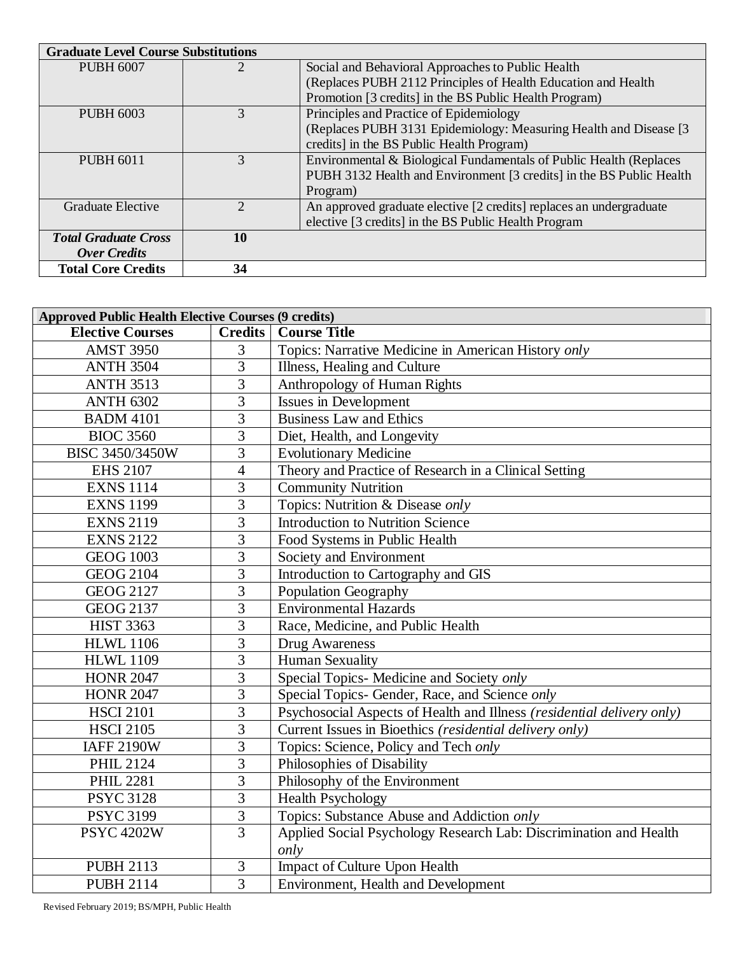| <b>Graduate Level Course Substitutions</b> |    |                                                                      |
|--------------------------------------------|----|----------------------------------------------------------------------|
| <b>PUBH 6007</b>                           |    | Social and Behavioral Approaches to Public Health                    |
|                                            |    | (Replaces PUBH 2112 Principles of Health Education and Health        |
|                                            |    | Promotion [3 credits] in the BS Public Health Program)               |
| PUBH 6003                                  | 3  | Principles and Practice of Epidemiology                              |
|                                            |    | (Replaces PUBH 3131 Epidemiology: Measuring Health and Disease [3]   |
|                                            |    | credits] in the BS Public Health Program)                            |
| <b>PUBH 6011</b>                           | 3  | Environmental & Biological Fundamentals of Public Health (Replaces   |
|                                            |    | PUBH 3132 Health and Environment [3 credits] in the BS Public Health |
|                                            |    | Program)                                                             |
| Graduate Elective                          | 2  | An approved graduate elective [2 credits] replaces an undergraduate  |
|                                            |    | elective [3 credits] in the BS Public Health Program                 |
| <b>Total Graduate Cross</b>                | 10 |                                                                      |
| <b>Over Credits</b>                        |    |                                                                      |
| <b>Total Core Credits</b>                  | 34 |                                                                      |

| <b>Approved Public Health Elective Courses (9 credits)</b> |                |                                                                        |  |
|------------------------------------------------------------|----------------|------------------------------------------------------------------------|--|
| <b>Elective Courses</b>                                    | <b>Credits</b> | <b>Course Title</b>                                                    |  |
| <b>AMST 3950</b>                                           | 3              | Topics: Narrative Medicine in American History only                    |  |
| <b>ANTH 3504</b>                                           | $\overline{3}$ | Illness, Healing and Culture                                           |  |
| <b>ANTH 3513</b>                                           | 3              | Anthropology of Human Rights                                           |  |
| <b>ANTH 6302</b>                                           | 3              | <b>Issues in Development</b>                                           |  |
| <b>BADM 4101</b>                                           | $\overline{3}$ | <b>Business Law and Ethics</b>                                         |  |
| <b>BIOC 3560</b>                                           | 3              | Diet, Health, and Longevity                                            |  |
| BISC 3450/3450W                                            | $\overline{3}$ | <b>Evolutionary Medicine</b>                                           |  |
| <b>EHS 2107</b>                                            | 4              | Theory and Practice of Research in a Clinical Setting                  |  |
| <b>EXNS 1114</b>                                           | 3              | Community Nutrition                                                    |  |
| <b>EXNS 1199</b>                                           | $\overline{3}$ | Topics: Nutrition & Disease only                                       |  |
| <b>EXNS 2119</b>                                           | 3              | <b>Introduction to Nutrition Science</b>                               |  |
| <b>EXNS 2122</b>                                           | 3              | Food Systems in Public Health                                          |  |
| <b>GEOG 1003</b>                                           | 3              | Society and Environment                                                |  |
| <b>GEOG 2104</b>                                           | $\overline{3}$ | Introduction to Cartography and GIS                                    |  |
| <b>GEOG 2127</b>                                           | 3              | <b>Population Geography</b>                                            |  |
| <b>GEOG 2137</b>                                           | 3              | <b>Environmental Hazards</b>                                           |  |
| <b>HIST 3363</b>                                           | 3              | Race, Medicine, and Public Health                                      |  |
| <b>HLWL 1106</b>                                           | $\overline{3}$ | Drug Awareness                                                         |  |
| <b>HLWL 1109</b>                                           | 3              | <b>Human Sexuality</b>                                                 |  |
| <b>HONR 2047</b>                                           | $\overline{3}$ | Special Topics- Medicine and Society only                              |  |
| <b>HONR 2047</b>                                           | 3              | Special Topics- Gender, Race, and Science only                         |  |
| <b>HSCI 2101</b>                                           | $\overline{3}$ | Psychosocial Aspects of Health and Illness (residential delivery only) |  |
| <b>HSCI 2105</b>                                           | 3              | Current Issues in Bioethics (residential delivery only)                |  |
| <b>IAFF 2190W</b>                                          | 3              | Topics: Science, Policy and Tech only                                  |  |
| <b>PHIL 2124</b>                                           | $\overline{3}$ | Philosophies of Disability                                             |  |
| <b>PHIL 2281</b>                                           | 3              | Philosophy of the Environment                                          |  |
| <b>PSYC 3128</b>                                           | $\overline{3}$ | <b>Health Psychology</b>                                               |  |
| <b>PSYC 3199</b>                                           | 3              | Topics: Substance Abuse and Addiction only                             |  |
| <b>PSYC 4202W</b>                                          | $\overline{3}$ | Applied Social Psychology Research Lab: Discrimination and Health      |  |
|                                                            |                | only                                                                   |  |
| <b>PUBH 2113</b>                                           | 3              | Impact of Culture Upon Health                                          |  |
| <b>PUBH 2114</b>                                           | $\overline{3}$ | Environment, Health and Development                                    |  |

Revised February 2019; BS/MPH, Public Health